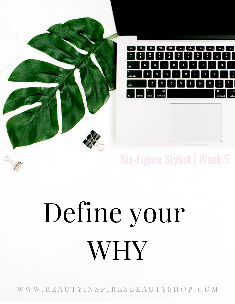

#### Six-Figure Stylist | Week 5

## Define your WHY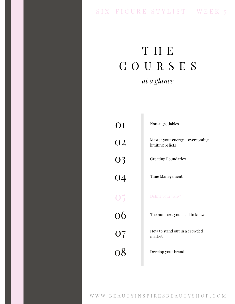#### SIX - FIGURE STYLIST | WEEK 5

#### T H E C O U R S E S *at a glance*

r.

| 01              | Non-negotiables                                     |
|-----------------|-----------------------------------------------------|
| <b>O2</b>       | Master your energy + overcoming<br>limiting beliefs |
| 03              | <b>Creating Boundaries</b>                          |
| $\overline{04}$ | <b>Time Management</b>                              |
| 05              | Define your "why"                                   |
| 06              | The numbers you need to know                        |
| 07              | How to stand out in a crowded<br>market             |
| 08              | Develop your brand                                  |
|                 |                                                     |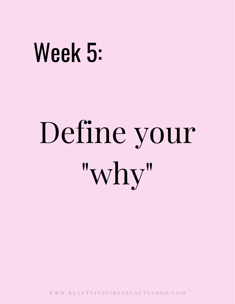### Week 5:

# Define your "why"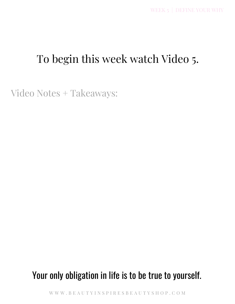#### To begin this week watch Video 5.

Video Notes + Takeaways:

#### Your only obligation in life is to be true to yourself.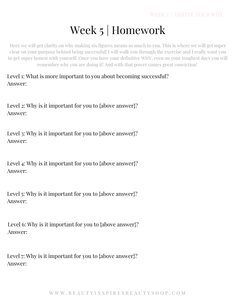#### Week 5 | Homework

Here we will get clarity on why making six figures means so much to you. This is where we will get super clear on your purpose behind being successful! I will walk you through the exercise and I really want you to get super honest with yourself. Once you have your definitive WHY, even on your toughest days you will remember why you are doing it! And with that power comes great conviction!

Level 1: What is more important to you about becoming successful? Answer:

Level 2: Why is it important for you to {above answer}? Answer:

Level 3: Why is it important for you to {above answer}? Answer:

Level 4: Why is it important for you to {above answer}? Answer:

Level 5: Why is it important for you to {above answer}? Answer:

Level 6: Why is it important for you to {above answer}? Answer:

Level 7: Why is it important for you to {above answer}? Answer: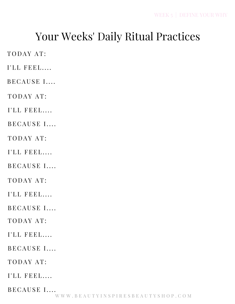#### Your Weeks' Daily Ritual Practices

TODAY AT:

I'LL FEEL....

BECAUSE I....

TODAY AT:

I'LL FEEL....

BECAUSE I....

TODAY AT:

I'LL FEEL....

BECAUSE I....

TODAY AT:

 $I'LL$  FEEL....

BECAUSE I....

TODAY AT:

 $I'LL$  FEEL....

BECAUSE I....

TODAY AT:

I'LL FEEL....

BECAUSE I....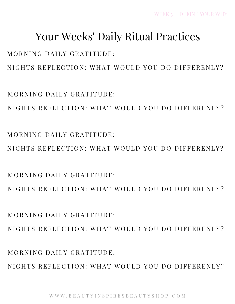MORNING DAILY GRATITUDE: NIGHTS REFLECTION: WHAT WOULD YOU DO DIFFERENLY?

 $M$  O R N I N G D A I L Y G R A T I T U D E  $\cdot$ NIGHTS REFLECTION: WHAT WOULD YOU DO DIFFERENLY?

MORNING DAILY GRATITUDE: NIGHTS REFLECTION: WHAT WOULD YOU DO DIFFERENLY?

 $MORNING$  DAILY GRATITUDE. NIGHTS REFLECTION: WHAT WOULD YOU DO DIFFERENLY?

NIGHTS REFLECTION: WHAT WOULD YOU DO DIFFERENLY?

NIGHTS REFLECTION: WHAT WOULD YOU DO DIFFERENLY?

WEEK 5 | DEFINE YOUR WHY

### Your Weeks' Daily Ritual Practices

MORNING DAILY GRATITUDE:

MORNING DAILY GRATITUDE: